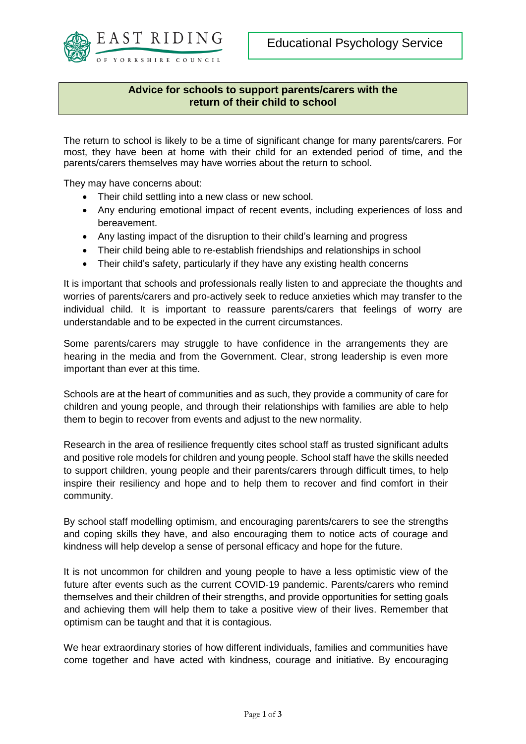

## **Advice for schools to support parents/carers with the return of their child to school**

The return to school is likely to be a time of significant change for many parents/carers. For most, they have been at home with their child for an extended period of time, and the parents/carers themselves may have worries about the return to school.

They may have concerns about:

- Their child settling into a new class or new school.
- Any enduring emotional impact of recent events, including experiences of loss and bereavement.
- Any lasting impact of the disruption to their child's learning and progress
- Their child being able to re-establish friendships and relationships in school
- Their child's safety, particularly if they have any existing health concerns

It is important that schools and professionals really listen to and appreciate the thoughts and worries of parents/carers and pro-actively seek to reduce anxieties which may transfer to the individual child. It is important to reassure parents/carers that feelings of worry are understandable and to be expected in the current circumstances.

Some parents/carers may struggle to have confidence in the arrangements they are hearing in the media and from the Government. Clear, strong leadership is even more important than ever at this time.

Schools are at the heart of communities and as such, they provide a community of care for children and young people, and through their relationships with families are able to help them to begin to recover from events and adjust to the new normality.

Research in the area of resilience frequently cites school staff as trusted significant adults and positive role models for children and young people. School staff have the skills needed to support children, young people and their parents/carers through difficult times, to help inspire their resiliency and hope and to help them to recover and find comfort in their community.

By school staff modelling optimism, and encouraging parents/carers to see the strengths and coping skills they have, and also encouraging them to notice acts of courage and kindness will help develop a sense of personal efficacy and hope for the future.

It is not uncommon for children and young people to have a less optimistic view of the future after events such as the current COVID-19 pandemic. Parents/carers who remind themselves and their children of their strengths, and provide opportunities for setting goals and achieving them will help them to take a positive view of their lives. Remember that optimism can be taught and that it is contagious.

We hear extraordinary stories of how different individuals, families and communities have come together and have acted with kindness, courage and initiative. By encouraging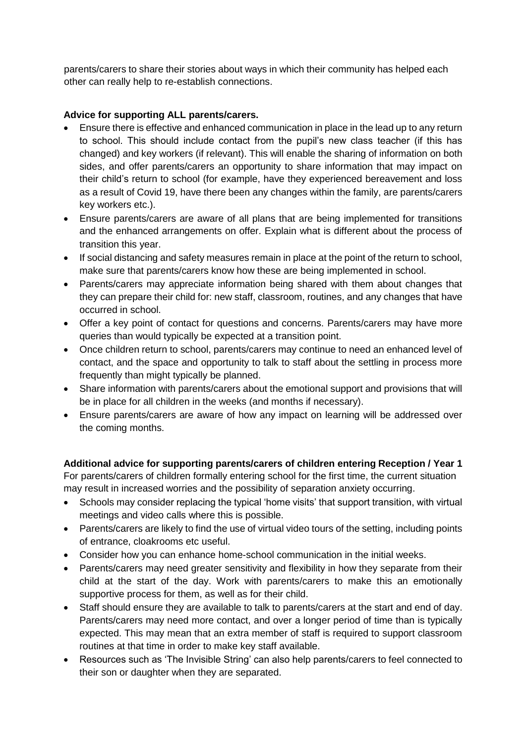parents/carers to share their stories about ways in which their community has helped each other can really help to re-establish connections.

## **Advice for supporting ALL parents/carers.**

- Ensure there is effective and enhanced communication in place in the lead up to any return to school. This should include contact from the pupil's new class teacher (if this has changed) and key workers (if relevant). This will enable the sharing of information on both sides, and offer parents/carers an opportunity to share information that may impact on their child's return to school (for example, have they experienced bereavement and loss as a result of Covid 19, have there been any changes within the family, are parents/carers key workers etc.).
- Ensure parents/carers are aware of all plans that are being implemented for transitions and the enhanced arrangements on offer. Explain what is different about the process of transition this year.
- If social distancing and safety measures remain in place at the point of the return to school, make sure that parents/carers know how these are being implemented in school.
- Parents/carers may appreciate information being shared with them about changes that they can prepare their child for: new staff, classroom, routines, and any changes that have occurred in school.
- Offer a key point of contact for questions and concerns. Parents/carers may have more queries than would typically be expected at a transition point.
- Once children return to school, parents/carers may continue to need an enhanced level of contact, and the space and opportunity to talk to staff about the settling in process more frequently than might typically be planned.
- Share information with parents/carers about the emotional support and provisions that will be in place for all children in the weeks (and months if necessary).
- Ensure parents/carers are aware of how any impact on learning will be addressed over the coming months.

**Additional advice for supporting parents/carers of children entering Reception / Year 1** For parents/carers of children formally entering school for the first time, the current situation may result in increased worries and the possibility of separation anxiety occurring.

- Schools may consider replacing the typical 'home visits' that support transition, with virtual meetings and video calls where this is possible.
- Parents/carers are likely to find the use of virtual video tours of the setting, including points of entrance, cloakrooms etc useful.
- Consider how you can enhance home-school communication in the initial weeks.
- Parents/carers may need greater sensitivity and flexibility in how they separate from their child at the start of the day. Work with parents/carers to make this an emotionally supportive process for them, as well as for their child.
- Staff should ensure they are available to talk to parents/carers at the start and end of day. Parents/carers may need more contact, and over a longer period of time than is typically expected. This may mean that an extra member of staff is required to support classroom routines at that time in order to make key staff available.
- Resources such as 'The Invisible String' can also help parents/carers to feel connected to their son or daughter when they are separated.